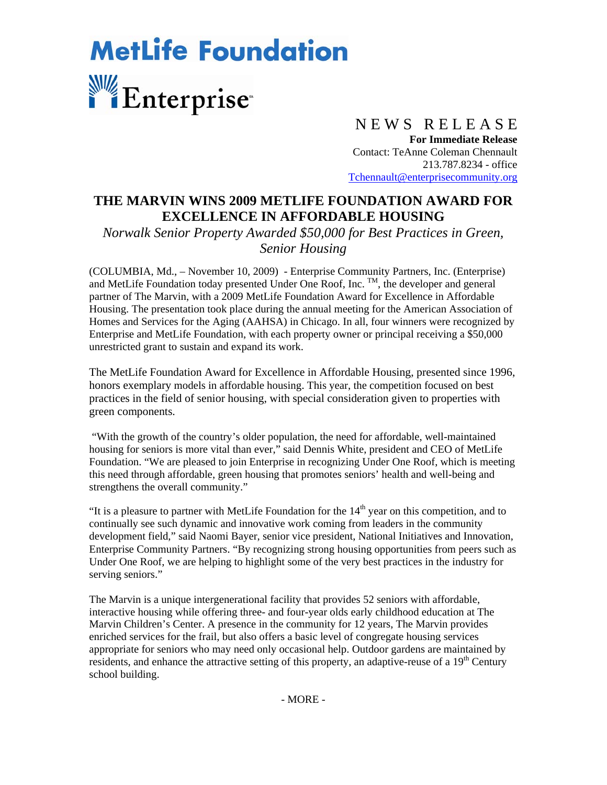## **MetLife Foundation** Enterprise<sup>®</sup>

## N E W S R E L E A S E

**For Immediate Release**  Contact: TeAnne Coleman Chennault 213.787.8234 - office Tchennault@enterprisecommunity.org

## **THE MARVIN WINS 2009 METLIFE FOUNDATION AWARD FOR EXCELLENCE IN AFFORDABLE HOUSING**

*Norwalk Senior Property Awarded \$50,000 for Best Practices in Green, Senior Housing* 

(COLUMBIA, Md., – November 10, 2009) - Enterprise Community Partners, Inc. (Enterprise) and MetLife Foundation today presented Under One Roof, Inc.  $^{TM}$ , the developer and general partner of The Marvin, with a 2009 MetLife Foundation Award for Excellence in Affordable Housing. The presentation took place during the annual meeting for the American Association of Homes and Services for the Aging (AAHSA) in Chicago. In all, four winners were recognized by Enterprise and MetLife Foundation, with each property owner or principal receiving a \$50,000 unrestricted grant to sustain and expand its work.

The MetLife Foundation Award for Excellence in Affordable Housing, presented since 1996, honors exemplary models in affordable housing. This year, the competition focused on best practices in the field of senior housing, with special consideration given to properties with green components.

"With the growth of the country's older population, the need for affordable, well-maintained housing for seniors is more vital than ever," said Dennis White, president and CEO of MetLife Foundation. "We are pleased to join Enterprise in recognizing Under One Roof, which is meeting this need through affordable, green housing that promotes seniors' health and well-being and strengthens the overall community."

"It is a pleasure to partner with MetLife Foundation for the  $14<sup>th</sup>$  year on this competition, and to continually see such dynamic and innovative work coming from leaders in the community development field," said Naomi Bayer, senior vice president, National Initiatives and Innovation, Enterprise Community Partners. "By recognizing strong housing opportunities from peers such as Under One Roof, we are helping to highlight some of the very best practices in the industry for serving seniors."

The Marvin is a unique intergenerational facility that provides 52 seniors with affordable, interactive housing while offering three- and four-year olds early childhood education at The Marvin Children's Center. A presence in the community for 12 years, The Marvin provides enriched services for the frail, but also offers a basic level of congregate housing services appropriate for seniors who may need only occasional help. Outdoor gardens are maintained by residents, and enhance the attractive setting of this property, an adaptive-reuse of a 19<sup>th</sup> Century school building.